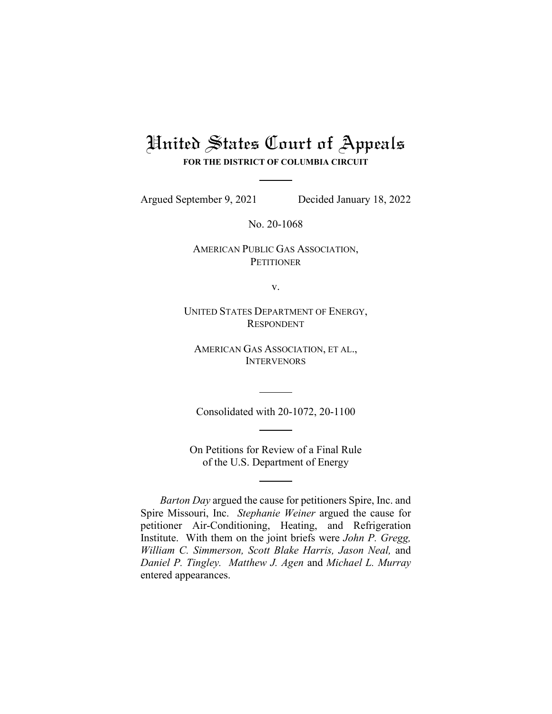# United States Court of Appeals

**FOR THE DISTRICT OF COLUMBIA CIRCUIT**

Argued September 9, 2021 Decided January 18, 2022

No. 20-1068

AMERICAN PUBLIC GAS ASSOCIATION, **PETITIONER** 

v.

UNITED STATES DEPARTMENT OF ENERGY, RESPONDENT

AMERICAN GAS ASSOCIATION, ET AL., **INTERVENORS** 

Consolidated with 20-1072, 20-1100

On Petitions for Review of a Final Rule of the U.S. Department of Energy

*Barton Day* argued the cause for petitioners Spire, Inc. and Spire Missouri, Inc. *Stephanie Weiner* argued the cause for petitioner Air-Conditioning, Heating, and Refrigeration Institute. With them on the joint briefs were *John P. Gregg, William C. Simmerson, Scott Blake Harris, Jason Neal,* and *Daniel P. Tingley. Matthew J. Agen* and *Michael L. Murray* entered appearances.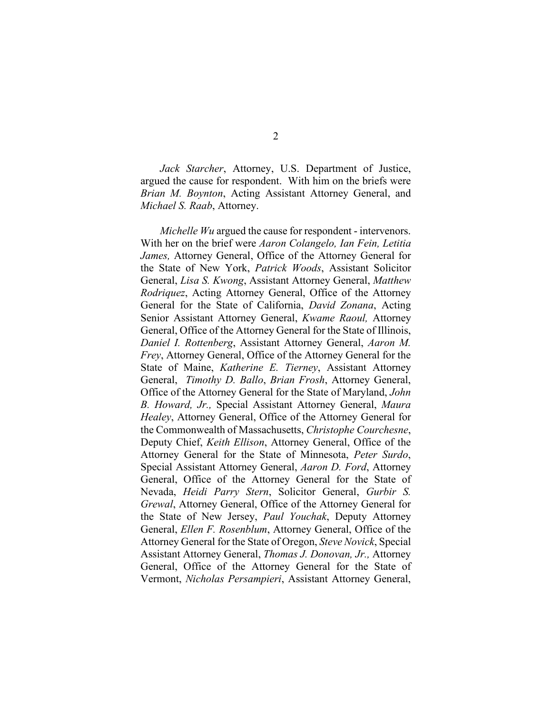*Jack Starcher*, Attorney, U.S. Department of Justice, argued the cause for respondent. With him on the briefs were *Brian M. Boynton*, Acting Assistant Attorney General, and *Michael S. Raab*, Attorney.

*Michelle Wu* argued the cause for respondent - intervenors. With her on the brief were *Aaron Colangelo, Ian Fein, Letitia James,* Attorney General, Office of the Attorney General for the State of New York, *Patrick Woods*, Assistant Solicitor General, *Lisa S. Kwong*, Assistant Attorney General, *Matthew Rodriquez*, Acting Attorney General, Office of the Attorney General for the State of California, *David Zonana*, Acting Senior Assistant Attorney General, *Kwame Raoul,* Attorney General, Office of the Attorney General for the State of Illinois, *Daniel I. Rottenberg*, Assistant Attorney General, *Aaron M. Frey*, Attorney General, Office of the Attorney General for the State of Maine, *Katherine E. Tierney*, Assistant Attorney General, *Timothy D. Ballo*, *Brian Frosh*, Attorney General, Office of the Attorney General for the State of Maryland, *John B. Howard, Jr.,* Special Assistant Attorney General, *Maura Healey*, Attorney General, Office of the Attorney General for the Commonwealth of Massachusetts, *Christophe Courchesne*, Deputy Chief, *Keith Ellison*, Attorney General, Office of the Attorney General for the State of Minnesota, *Peter Surdo*, Special Assistant Attorney General, *Aaron D. Ford*, Attorney General, Office of the Attorney General for the State of Nevada, *Heidi Parry Stern*, Solicitor General, *Gurbir S. Grewal*, Attorney General, Office of the Attorney General for the State of New Jersey, *Paul Youchak*, Deputy Attorney General, *Ellen F. Rosenblum*, Attorney General, Office of the Attorney General for the State of Oregon, *Steve Novick*, Special Assistant Attorney General, *Thomas J. Donovan, Jr.,* Attorney General, Office of the Attorney General for the State of Vermont, *Nicholas Persampieri*, Assistant Attorney General,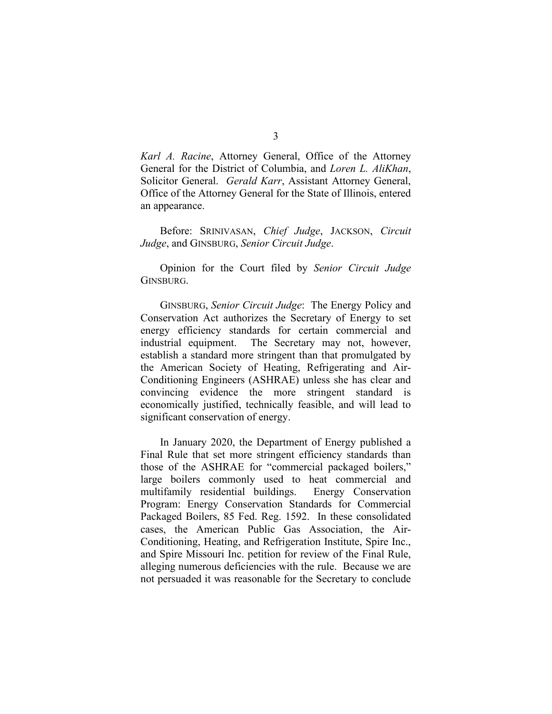*Karl A. Racine*, Attorney General, Office of the Attorney General for the District of Columbia, and *Loren L. AliKhan*, Solicitor General. *Gerald Karr*, Assistant Attorney General, Office of the Attorney General for the State of Illinois, entered an appearance.

Before: SRINIVASAN, *Chief Judge*, JACKSON, *Circuit Judge*, and GINSBURG, *Senior Circuit Judge*.

Opinion for the Court filed by *Senior Circuit Judge*  GINSBURG.

GINSBURG, *Senior Circuit Judge*: The Energy Policy and Conservation Act authorizes the Secretary of Energy to set energy efficiency standards for certain commercial and industrial equipment. The Secretary may not, however, establish a standard more stringent than that promulgated by the American Society of Heating, Refrigerating and Air-Conditioning Engineers (ASHRAE) unless she has clear and convincing evidence the more stringent standard is economically justified, technically feasible, and will lead to significant conservation of energy.

In January 2020, the Department of Energy published a Final Rule that set more stringent efficiency standards than those of the ASHRAE for "commercial packaged boilers," large boilers commonly used to heat commercial and multifamily residential buildings. Energy Conservation Program: Energy Conservation Standards for Commercial Packaged Boilers, 85 Fed. Reg. 1592. In these consolidated cases, the American Public Gas Association, the Air-Conditioning, Heating, and Refrigeration Institute, Spire Inc., and Spire Missouri Inc. petition for review of the Final Rule, alleging numerous deficiencies with the rule. Because we are not persuaded it was reasonable for the Secretary to conclude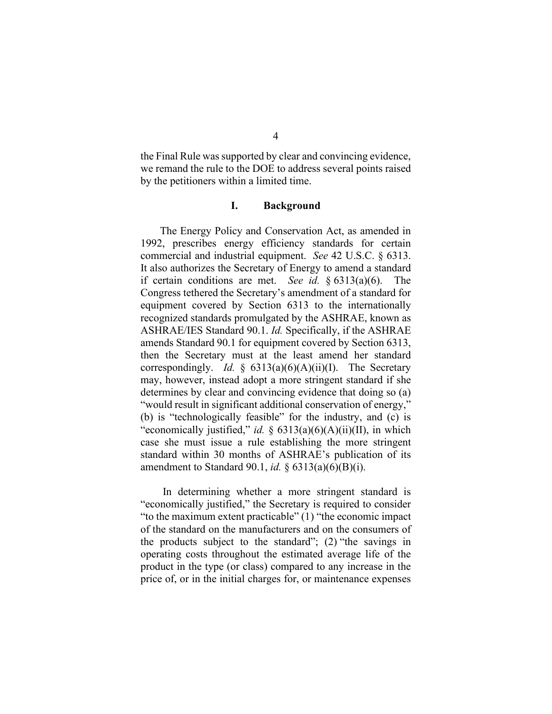the Final Rule was supported by clear and convincing evidence, we remand the rule to the DOE to address several points raised by the petitioners within a limited time.

### **I. Background**

The Energy Policy and Conservation Act, as amended in 1992, prescribes energy efficiency standards for certain commercial and industrial equipment. *See* 42 U.S.C. § 6313. It also authorizes the Secretary of Energy to amend a standard if certain conditions are met. *See id.* § 6313(a)(6). The Congress tethered the Secretary's amendment of a standard for equipment covered by Section 6313 to the internationally recognized standards promulgated by the ASHRAE, known as ASHRAE/IES Standard 90.1. *Id.* Specifically, if the ASHRAE amends Standard 90.1 for equipment covered by Section 6313, then the Secretary must at the least amend her standard correspondingly. *Id.* § 6313(a)(6)(A)(ii)(I). The Secretary may, however, instead adopt a more stringent standard if she determines by clear and convincing evidence that doing so (a) "would result in significant additional conservation of energy," (b) is "technologically feasible" for the industry, and (c) is "economically justified," *id.* § 6313(a)(6)(A)(ii)(II), in which case she must issue a rule establishing the more stringent standard within 30 months of ASHRAE's publication of its amendment to Standard 90.1, *id.* § 6313(a)(6)(B)(i).

In determining whether a more stringent standard is "economically justified," the Secretary is required to consider "to the maximum extent practicable" (1) "the economic impact of the standard on the manufacturers and on the consumers of the products subject to the standard"; (2) "the savings in operating costs throughout the estimated average life of the product in the type (or class) compared to any increase in the price of, or in the initial charges for, or maintenance expenses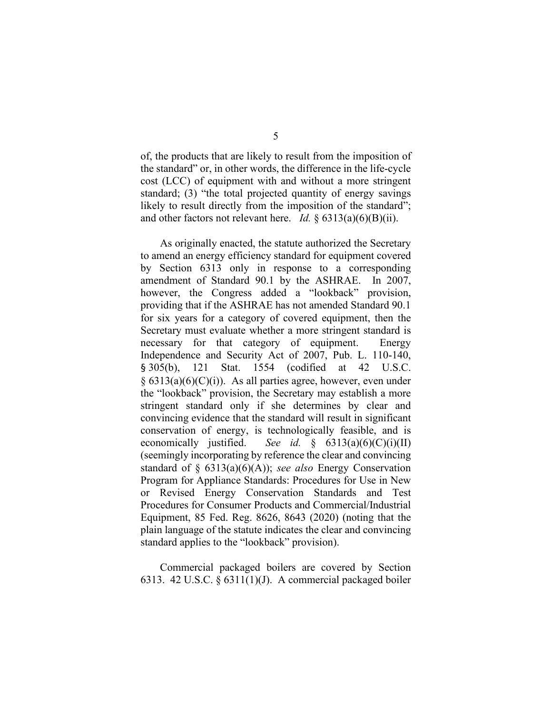of, the products that are likely to result from the imposition of the standard" or, in other words, the difference in the life-cycle cost (LCC) of equipment with and without a more stringent standard; (3) "the total projected quantity of energy savings likely to result directly from the imposition of the standard"; and other factors not relevant here. *Id.* § 6313(a)(6)(B)(ii).

As originally enacted, the statute authorized the Secretary to amend an energy efficiency standard for equipment covered by Section 6313 only in response to a corresponding amendment of Standard 90.1 by the ASHRAE. In 2007, however, the Congress added a "lookback" provision, providing that if the ASHRAE has not amended Standard 90.1 for six years for a category of covered equipment, then the Secretary must evaluate whether a more stringent standard is necessary for that category of equipment. Energy Independence and Security Act of 2007, Pub. L. 110-140, § 305(b), 121 Stat. 1554 (codified at 42 U.S.C.  $\S$  6313(a)(6)(C)(i)). As all parties agree, however, even under the "lookback" provision, the Secretary may establish a more stringent standard only if she determines by clear and convincing evidence that the standard will result in significant conservation of energy, is technologically feasible, and is economically justified. *See id.* § 6313(a)(6)(C)(i)(II) (seemingly incorporating by reference the clear and convincing standard of § 6313(a)(6)(A)); *see also* Energy Conservation Program for Appliance Standards: Procedures for Use in New or Revised Energy Conservation Standards and Test Procedures for Consumer Products and Commercial/Industrial Equipment, 85 Fed. Reg. 8626, 8643 (2020) (noting that the plain language of the statute indicates the clear and convincing standard applies to the "lookback" provision).

Commercial packaged boilers are covered by Section 6313. 42 U.S.C. § 6311(1)(J). A commercial packaged boiler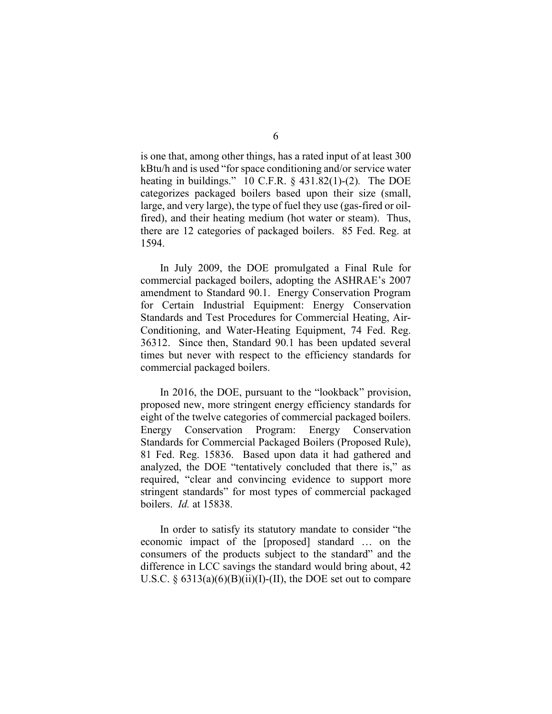is one that, among other things, has a rated input of at least 300 kBtu/h and is used "for space conditioning and/or service water heating in buildings." 10 C.F.R. § 431.82(1)-(2)*.* The DOE categorizes packaged boilers based upon their size (small, large, and very large), the type of fuel they use (gas-fired or oilfired), and their heating medium (hot water or steam). Thus, there are 12 categories of packaged boilers. 85 Fed. Reg. at 1594.

In July 2009, the DOE promulgated a Final Rule for commercial packaged boilers, adopting the ASHRAE's 2007 amendment to Standard 90.1. Energy Conservation Program for Certain Industrial Equipment: Energy Conservation Standards and Test Procedures for Commercial Heating, Air-Conditioning, and Water-Heating Equipment, 74 Fed. Reg. 36312. Since then, Standard 90.1 has been updated several times but never with respect to the efficiency standards for commercial packaged boilers.

In 2016, the DOE, pursuant to the "lookback" provision, proposed new, more stringent energy efficiency standards for eight of the twelve categories of commercial packaged boilers. Energy Conservation Program: Energy Conservation Standards for Commercial Packaged Boilers (Proposed Rule), 81 Fed. Reg. 15836. Based upon data it had gathered and analyzed, the DOE "tentatively concluded that there is," as required, "clear and convincing evidence to support more stringent standards" for most types of commercial packaged boilers. *Id.* at 15838.

In order to satisfy its statutory mandate to consider "the economic impact of the [proposed] standard … on the consumers of the products subject to the standard" and the difference in LCC savings the standard would bring about, 42 U.S.C.  $\S$  6313(a)(6)(B)(ii)(I)-(II), the DOE set out to compare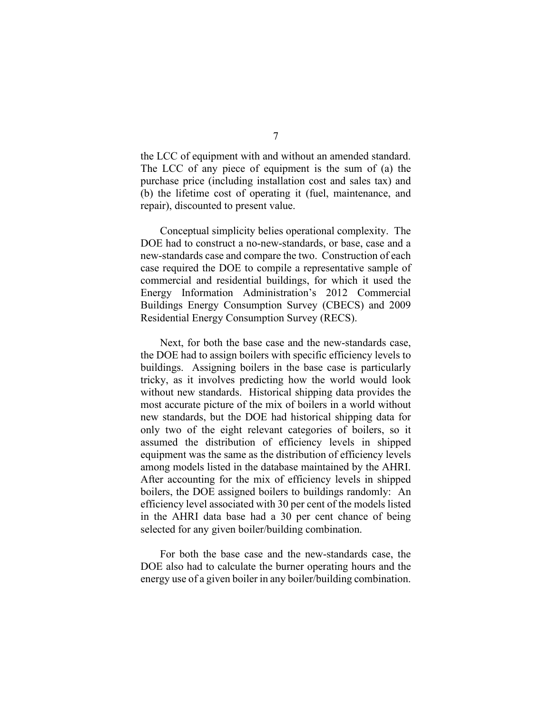the LCC of equipment with and without an amended standard. The LCC of any piece of equipment is the sum of (a) the purchase price (including installation cost and sales tax) and (b) the lifetime cost of operating it (fuel, maintenance, and repair), discounted to present value.

Conceptual simplicity belies operational complexity. The DOE had to construct a no-new-standards, or base, case and a new-standards case and compare the two. Construction of each case required the DOE to compile a representative sample of commercial and residential buildings, for which it used the Energy Information Administration's 2012 Commercial Buildings Energy Consumption Survey (CBECS) and 2009 Residential Energy Consumption Survey (RECS).

Next, for both the base case and the new-standards case, the DOE had to assign boilers with specific efficiency levels to buildings. Assigning boilers in the base case is particularly tricky, as it involves predicting how the world would look without new standards. Historical shipping data provides the most accurate picture of the mix of boilers in a world without new standards, but the DOE had historical shipping data for only two of the eight relevant categories of boilers, so it assumed the distribution of efficiency levels in shipped equipment was the same as the distribution of efficiency levels among models listed in the database maintained by the AHRI. After accounting for the mix of efficiency levels in shipped boilers, the DOE assigned boilers to buildings randomly: An efficiency level associated with 30 per cent of the models listed in the AHRI data base had a 30 per cent chance of being selected for any given boiler/building combination.

For both the base case and the new-standards case, the DOE also had to calculate the burner operating hours and the energy use of a given boiler in any boiler/building combination.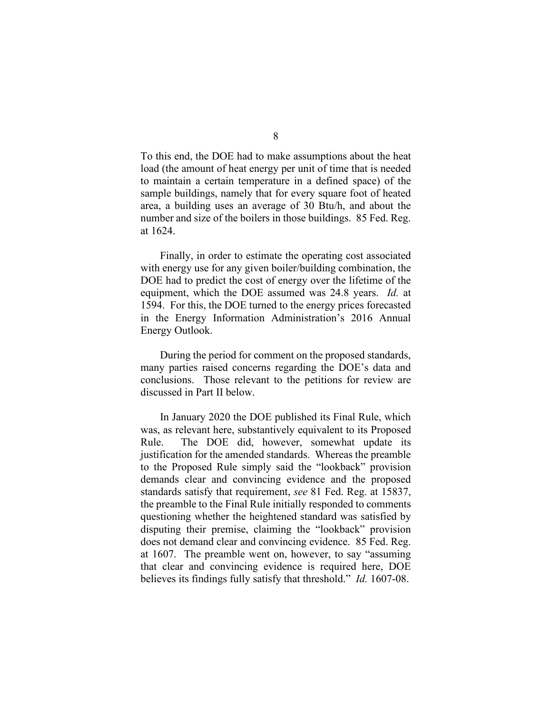To this end, the DOE had to make assumptions about the heat load (the amount of heat energy per unit of time that is needed to maintain a certain temperature in a defined space) of the sample buildings, namely that for every square foot of heated area, a building uses an average of 30 Btu/h, and about the number and size of the boilers in those buildings. 85 Fed. Reg. at 1624.

Finally, in order to estimate the operating cost associated with energy use for any given boiler/building combination, the DOE had to predict the cost of energy over the lifetime of the equipment, which the DOE assumed was 24.8 years. *Id.* at 1594. For this, the DOE turned to the energy prices forecasted in the Energy Information Administration's 2016 Annual Energy Outlook.

During the period for comment on the proposed standards, many parties raised concerns regarding the DOE's data and conclusions. Those relevant to the petitions for review are discussed in Part II below.

In January 2020 the DOE published its Final Rule, which was, as relevant here, substantively equivalent to its Proposed Rule. The DOE did, however, somewhat update its justification for the amended standards. Whereas the preamble to the Proposed Rule simply said the "lookback" provision demands clear and convincing evidence and the proposed standards satisfy that requirement, *see* 81 Fed. Reg. at 15837, the preamble to the Final Rule initially responded to comments questioning whether the heightened standard was satisfied by disputing their premise, claiming the "lookback" provision does not demand clear and convincing evidence. 85 Fed. Reg. at 1607. The preamble went on, however, to say "assuming that clear and convincing evidence is required here, DOE believes its findings fully satisfy that threshold." *Id.* 1607-08.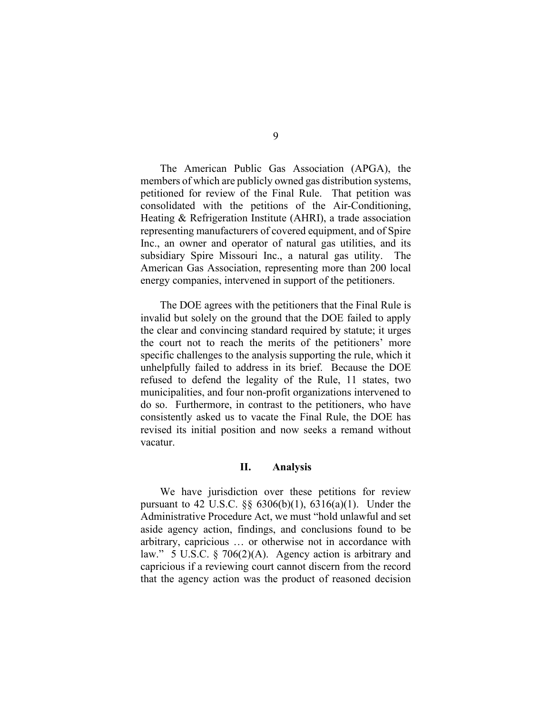The American Public Gas Association (APGA), the members of which are publicly owned gas distribution systems, petitioned for review of the Final Rule. That petition was consolidated with the petitions of the Air-Conditioning, Heating & Refrigeration Institute (AHRI), a trade association representing manufacturers of covered equipment, and of Spire Inc., an owner and operator of natural gas utilities, and its subsidiary Spire Missouri Inc., a natural gas utility. The American Gas Association, representing more than 200 local energy companies, intervened in support of the petitioners.

The DOE agrees with the petitioners that the Final Rule is invalid but solely on the ground that the DOE failed to apply the clear and convincing standard required by statute; it urges the court not to reach the merits of the petitioners' more specific challenges to the analysis supporting the rule, which it unhelpfully failed to address in its brief. Because the DOE refused to defend the legality of the Rule, 11 states, two municipalities, and four non-profit organizations intervened to do so. Furthermore, in contrast to the petitioners, who have consistently asked us to vacate the Final Rule, the DOE has revised its initial position and now seeks a remand without vacatur.

## **II. Analysis**

We have jurisdiction over these petitions for review pursuant to 42 U.S.C. §§ 6306(b)(1), 6316(a)(1). Under the Administrative Procedure Act, we must "hold unlawful and set aside agency action, findings, and conclusions found to be arbitrary, capricious … or otherwise not in accordance with law." 5 U.S.C. § 706(2)(A). Agency action is arbitrary and capricious if a reviewing court cannot discern from the record that the agency action was the product of reasoned decision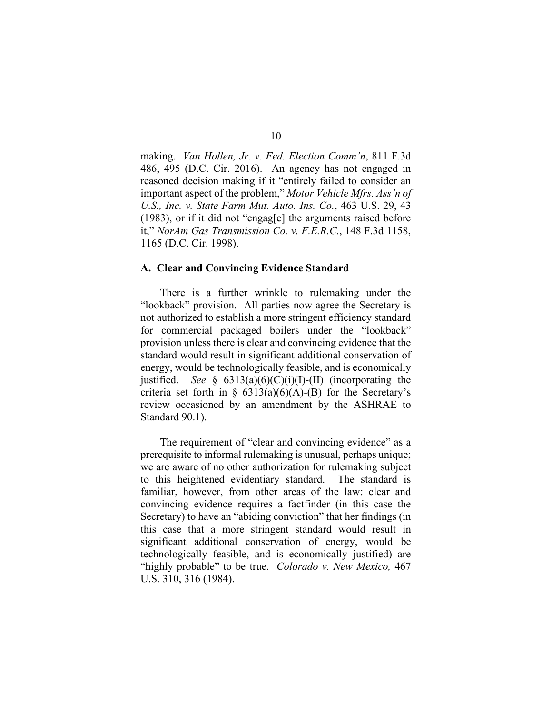making. *Van Hollen, Jr. v. Fed. Election Comm'n*, 811 F.3d 486, 495 (D.C. Cir. 2016). An agency has not engaged in reasoned decision making if it "entirely failed to consider an important aspect of the problem," *Motor Vehicle Mfrs. Ass'n of U.S., Inc. v. State Farm Mut. Auto. Ins. Co.*, 463 U.S. 29, 43 (1983), or if it did not "engag[e] the arguments raised before it," *NorAm Gas Transmission Co. v. F.E.R.C.*, 148 F.3d 1158, 1165 (D.C. Cir. 1998).

#### **A. Clear and Convincing Evidence Standard**

There is a further wrinkle to rulemaking under the "lookback" provision. All parties now agree the Secretary is not authorized to establish a more stringent efficiency standard for commercial packaged boilers under the "lookback" provision unless there is clear and convincing evidence that the standard would result in significant additional conservation of energy, would be technologically feasible, and is economically justified. *See*  $\frac{2}{3}$  6313(a)(6)(C)(i)(I)-(II) (incorporating the criteria set forth in  $\S$  6313(a)(6)(A)-(B) for the Secretary's review occasioned by an amendment by the ASHRAE to Standard 90.1).

The requirement of "clear and convincing evidence" as a prerequisite to informal rulemaking is unusual, perhaps unique; we are aware of no other authorization for rulemaking subject to this heightened evidentiary standard. The standard is familiar, however, from other areas of the law: clear and convincing evidence requires a factfinder (in this case the Secretary) to have an "abiding conviction" that her findings (in this case that a more stringent standard would result in significant additional conservation of energy, would be technologically feasible, and is economically justified) are "highly probable" to be true. *Colorado v. New Mexico,* 467 U.S. 310, 316 (1984).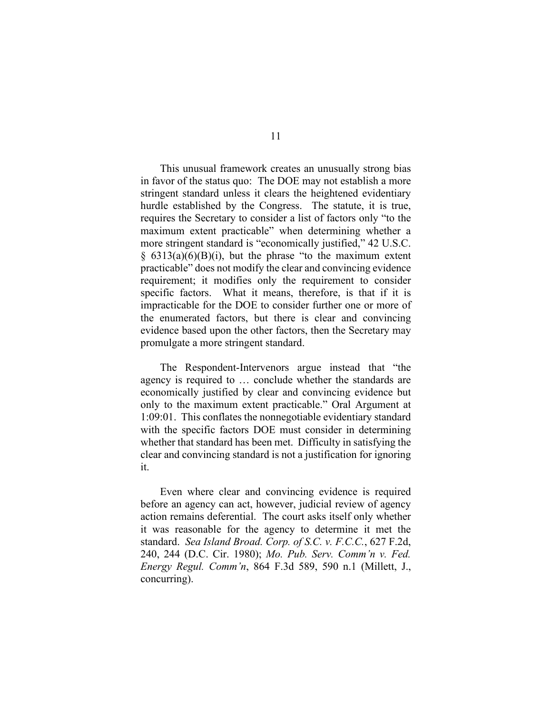This unusual framework creates an unusually strong bias in favor of the status quo: The DOE may not establish a more stringent standard unless it clears the heightened evidentiary hurdle established by the Congress. The statute, it is true, requires the Secretary to consider a list of factors only "to the maximum extent practicable" when determining whether a more stringent standard is "economically justified," 42 U.S.C.  $§ 6313(a)(6)(B)(i)$ , but the phrase "to the maximum extent practicable" does not modify the clear and convincing evidence requirement; it modifies only the requirement to consider specific factors. What it means, therefore, is that if it is impracticable for the DOE to consider further one or more of the enumerated factors, but there is clear and convincing evidence based upon the other factors, then the Secretary may promulgate a more stringent standard.

The Respondent-Intervenors argue instead that "the agency is required to … conclude whether the standards are economically justified by clear and convincing evidence but only to the maximum extent practicable." Oral Argument at 1:09:01. This conflates the nonnegotiable evidentiary standard with the specific factors DOE must consider in determining whether that standard has been met. Difficulty in satisfying the clear and convincing standard is not a justification for ignoring it.

Even where clear and convincing evidence is required before an agency can act, however, judicial review of agency action remains deferential. The court asks itself only whether it was reasonable for the agency to determine it met the standard. *Sea Island Broad. Corp. of S.C. v. F.C.C.*, 627 F.2d, 240, 244 (D.C. Cir. 1980); *Mo. Pub. Serv. Comm'n v. Fed. Energy Regul. Comm'n*, 864 F.3d 589, 590 n.1 (Millett, J., concurring).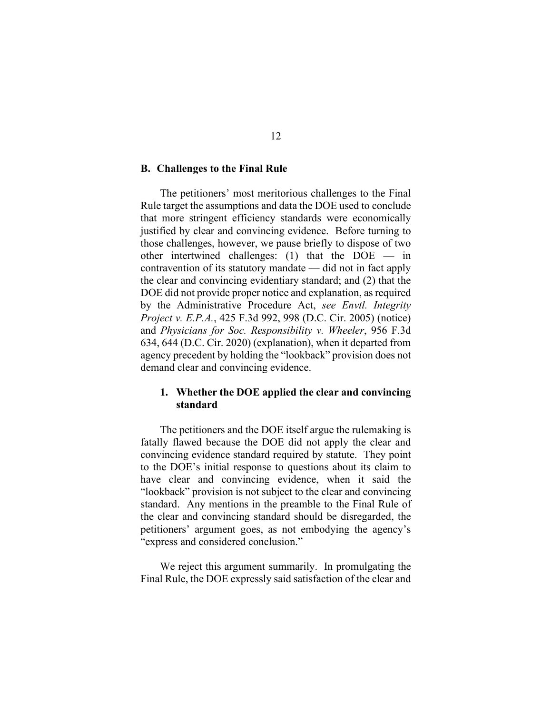## **B. Challenges to the Final Rule**

The petitioners' most meritorious challenges to the Final Rule target the assumptions and data the DOE used to conclude that more stringent efficiency standards were economically justified by clear and convincing evidence. Before turning to those challenges, however, we pause briefly to dispose of two other intertwined challenges: (1) that the DOE — in contravention of its statutory mandate — did not in fact apply the clear and convincing evidentiary standard; and (2) that the DOE did not provide proper notice and explanation, as required by the Administrative Procedure Act, *see Envtl. Integrity Project v. E.P.A.*, 425 F.3d 992, 998 (D.C. Cir. 2005) (notice) and *Physicians for Soc. Responsibility v. Wheeler*, 956 F.3d 634, 644 (D.C. Cir. 2020) (explanation), when it departed from agency precedent by holding the "lookback" provision does not demand clear and convincing evidence.

## **1. Whether the DOE applied the clear and convincing standard**

The petitioners and the DOE itself argue the rulemaking is fatally flawed because the DOE did not apply the clear and convincing evidence standard required by statute. They point to the DOE's initial response to questions about its claim to have clear and convincing evidence, when it said the "lookback" provision is not subject to the clear and convincing standard. Any mentions in the preamble to the Final Rule of the clear and convincing standard should be disregarded, the petitioners' argument goes, as not embodying the agency's "express and considered conclusion."

We reject this argument summarily. In promulgating the Final Rule, the DOE expressly said satisfaction of the clear and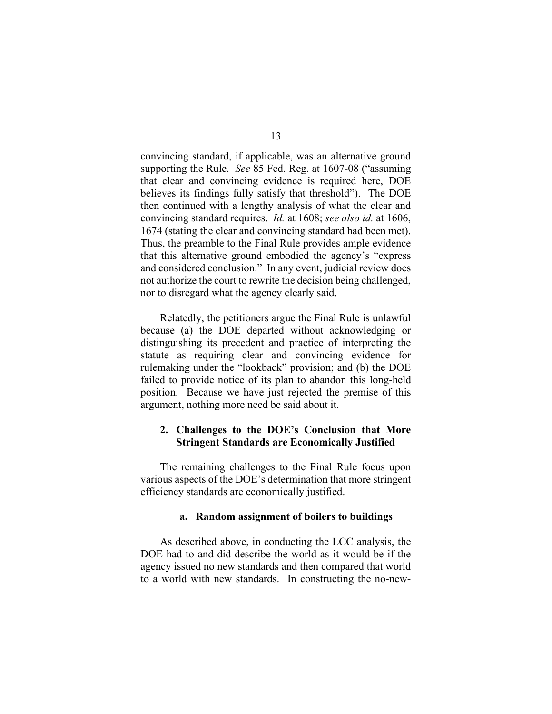convincing standard, if applicable, was an alternative ground supporting the Rule. *See* 85 Fed. Reg. at 1607-08 ("assuming that clear and convincing evidence is required here, DOE believes its findings fully satisfy that threshold"). The DOE then continued with a lengthy analysis of what the clear and convincing standard requires. *Id.* at 1608; *see also id.* at 1606, 1674 (stating the clear and convincing standard had been met). Thus, the preamble to the Final Rule provides ample evidence that this alternative ground embodied the agency's "express and considered conclusion." In any event, judicial review does not authorize the court to rewrite the decision being challenged, nor to disregard what the agency clearly said.

Relatedly, the petitioners argue the Final Rule is unlawful because (a) the DOE departed without acknowledging or distinguishing its precedent and practice of interpreting the statute as requiring clear and convincing evidence for rulemaking under the "lookback" provision; and (b) the DOE failed to provide notice of its plan to abandon this long-held position. Because we have just rejected the premise of this argument, nothing more need be said about it.

## **2. Challenges to the DOE's Conclusion that More Stringent Standards are Economically Justified**

The remaining challenges to the Final Rule focus upon various aspects of the DOE's determination that more stringent efficiency standards are economically justified.

## **a. Random assignment of boilers to buildings**

As described above, in conducting the LCC analysis, the DOE had to and did describe the world as it would be if the agency issued no new standards and then compared that world to a world with new standards. In constructing the no-new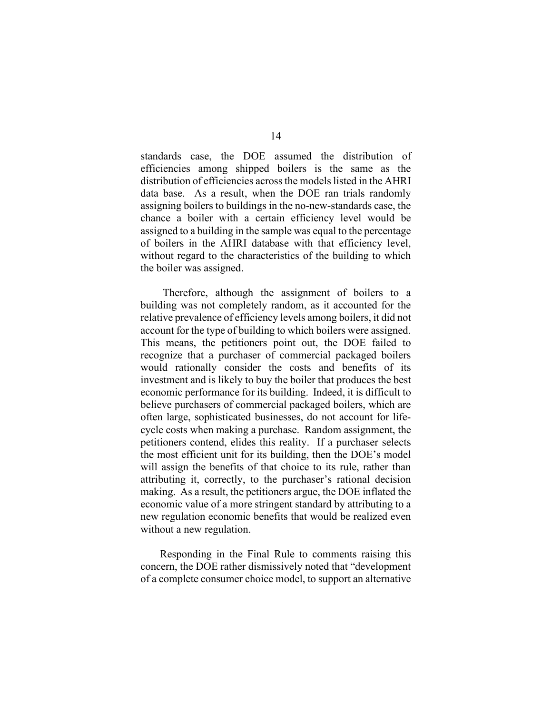standards case, the DOE assumed the distribution of efficiencies among shipped boilers is the same as the distribution of efficiencies across the models listed in the AHRI data base. As a result, when the DOE ran trials randomly assigning boilers to buildings in the no-new-standards case, the chance a boiler with a certain efficiency level would be assigned to a building in the sample was equal to the percentage of boilers in the AHRI database with that efficiency level, without regard to the characteristics of the building to which the boiler was assigned.

Therefore, although the assignment of boilers to a building was not completely random, as it accounted for the relative prevalence of efficiency levels among boilers, it did not account for the type of building to which boilers were assigned. This means, the petitioners point out, the DOE failed to recognize that a purchaser of commercial packaged boilers would rationally consider the costs and benefits of its investment and is likely to buy the boiler that produces the best economic performance for its building. Indeed, it is difficult to believe purchasers of commercial packaged boilers, which are often large, sophisticated businesses, do not account for lifecycle costs when making a purchase. Random assignment, the petitioners contend, elides this reality. If a purchaser selects the most efficient unit for its building, then the DOE's model will assign the benefits of that choice to its rule, rather than attributing it, correctly, to the purchaser's rational decision making. As a result, the petitioners argue, the DOE inflated the economic value of a more stringent standard by attributing to a new regulation economic benefits that would be realized even without a new regulation.

Responding in the Final Rule to comments raising this concern, the DOE rather dismissively noted that "development of a complete consumer choice model, to support an alternative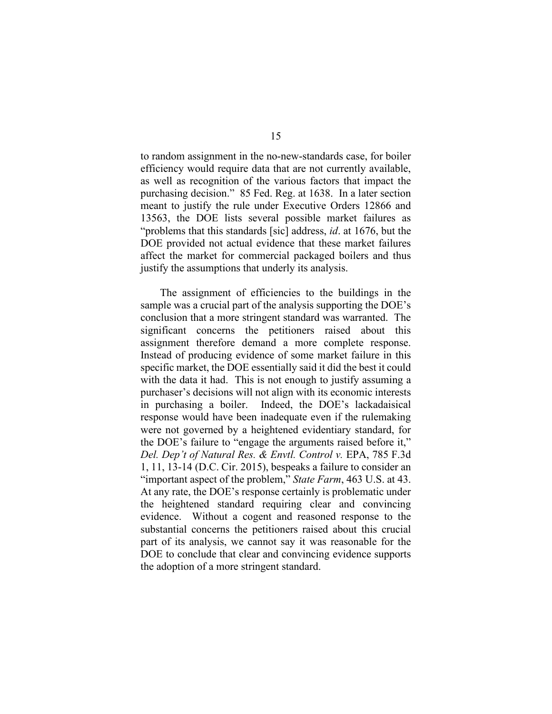to random assignment in the no-new-standards case, for boiler efficiency would require data that are not currently available, as well as recognition of the various factors that impact the purchasing decision." 85 Fed. Reg. at 1638. In a later section meant to justify the rule under Executive Orders 12866 and 13563, the DOE lists several possible market failures as "problems that this standards [sic] address, *id*. at 1676, but the DOE provided not actual evidence that these market failures affect the market for commercial packaged boilers and thus justify the assumptions that underly its analysis.

The assignment of efficiencies to the buildings in the sample was a crucial part of the analysis supporting the DOE's conclusion that a more stringent standard was warranted. The significant concerns the petitioners raised about this assignment therefore demand a more complete response. Instead of producing evidence of some market failure in this specific market, the DOE essentially said it did the best it could with the data it had. This is not enough to justify assuming a purchaser's decisions will not align with its economic interests in purchasing a boiler. Indeed, the DOE's lackadaisical response would have been inadequate even if the rulemaking were not governed by a heightened evidentiary standard, for the DOE's failure to "engage the arguments raised before it," *Del. Dep't of Natural Res. & Envtl. Control v. EPA, 785 F.3d* 1, 11, 13-14 (D.C. Cir. 2015), bespeaks a failure to consider an "important aspect of the problem," *State Farm*, 463 U.S. at 43. At any rate, the DOE's response certainly is problematic under the heightened standard requiring clear and convincing evidence. Without a cogent and reasoned response to the substantial concerns the petitioners raised about this crucial part of its analysis, we cannot say it was reasonable for the DOE to conclude that clear and convincing evidence supports the adoption of a more stringent standard.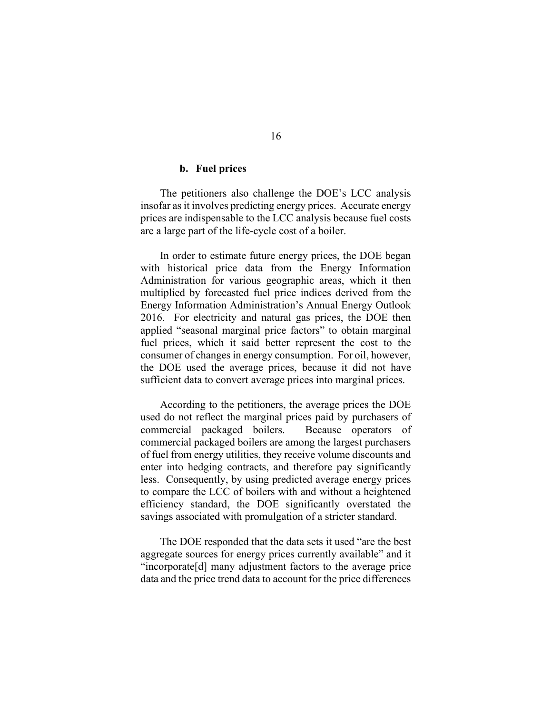## **b. Fuel prices**

The petitioners also challenge the DOE's LCC analysis insofar as it involves predicting energy prices. Accurate energy prices are indispensable to the LCC analysis because fuel costs are a large part of the life-cycle cost of a boiler.

In order to estimate future energy prices, the DOE began with historical price data from the Energy Information Administration for various geographic areas, which it then multiplied by forecasted fuel price indices derived from the Energy Information Administration's Annual Energy Outlook 2016. For electricity and natural gas prices, the DOE then applied "seasonal marginal price factors" to obtain marginal fuel prices, which it said better represent the cost to the consumer of changes in energy consumption. For oil, however, the DOE used the average prices, because it did not have sufficient data to convert average prices into marginal prices.

According to the petitioners, the average prices the DOE used do not reflect the marginal prices paid by purchasers of commercial packaged boilers. Because operators of commercial packaged boilers are among the largest purchasers of fuel from energy utilities, they receive volume discounts and enter into hedging contracts, and therefore pay significantly less. Consequently, by using predicted average energy prices to compare the LCC of boilers with and without a heightened efficiency standard, the DOE significantly overstated the savings associated with promulgation of a stricter standard.

The DOE responded that the data sets it used "are the best aggregate sources for energy prices currently available" and it "incorporate[d] many adjustment factors to the average price data and the price trend data to account for the price differences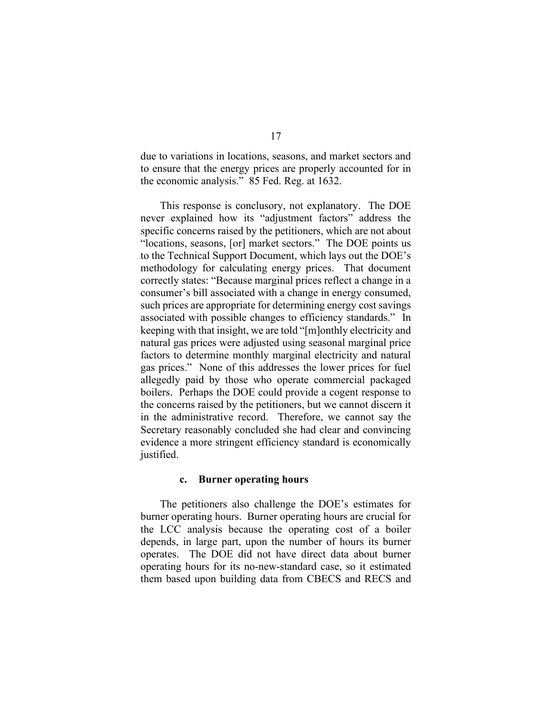due to variations in locations, seasons, and market sectors and to ensure that the energy prices are properly accounted for in the economic analysis." 85 Fed. Reg. at 1632.

This response is conclusory, not explanatory. The DOE never explained how its "adjustment factors" address the specific concerns raised by the petitioners, which are not about "locations, seasons, [or] market sectors." The DOE points us to the Technical Support Document, which lays out the DOE's methodology for calculating energy prices. That document correctly states: "Because marginal prices reflect a change in a consumer's bill associated with a change in energy consumed, such prices are appropriate for determining energy cost savings associated with possible changes to efficiency standards." In keeping with that insight, we are told "[m]onthly electricity and natural gas prices were adjusted using seasonal marginal price factors to determine monthly marginal electricity and natural gas prices." None of this addresses the lower prices for fuel allegedly paid by those who operate commercial packaged boilers. Perhaps the DOE could provide a cogent response to the concerns raised by the petitioners, but we cannot discern it in the administrative record. Therefore, we cannot say the Secretary reasonably concluded she had clear and convincing evidence a more stringent efficiency standard is economically justified.

#### **c. Burner operating hours**

The petitioners also challenge the DOE's estimates for burner operating hours. Burner operating hours are crucial for the LCC analysis because the operating cost of a boiler depends, in large part, upon the number of hours its burner operates. The DOE did not have direct data about burner operating hours for its no-new-standard case, so it estimated them based upon building data from CBECS and RECS and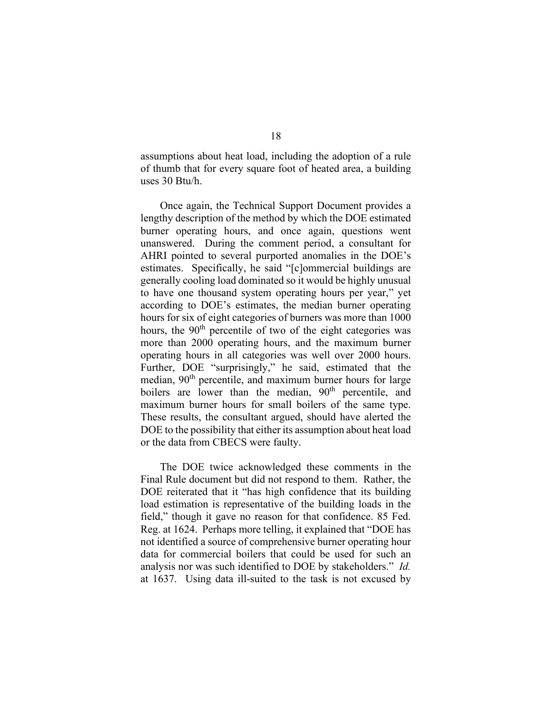assumptions about heat load, including the adoption of a rule of thumb that for every square foot of heated area, a building uses 30 Btu/h.

Once again, the Technical Support Document provides a lengthy description of the method by which the DOE estimated burner operating hours, and once again, questions went unanswered. During the comment period, a consultant for AHRI pointed to several purported anomalies in the DOE's estimates. Specifically, he said "[c]ommercial buildings are generally cooling load dominated so it would be highly unusual to have one thousand system operating hours per year," yet according to DOE's estimates, the median burner operating hours for six of eight categories of burners was more than 1000 hours, the  $90<sup>th</sup>$  percentile of two of the eight categories was more than 2000 operating hours, and the maximum burner operating hours in all categories was well over 2000 hours. Further, DOE "surprisingly," he said, estimated that the median, 90<sup>th</sup> percentile, and maximum burner hours for large boilers are lower than the median,  $90<sup>th</sup>$  percentile, and maximum burner hours for small boilers of the same type. These results, the consultant argued, should have alerted the DOE to the possibility that either its assumption about heat load or the data from CBECS were faulty.

The DOE twice acknowledged these comments in the Final Rule document but did not respond to them. Rather, the DOE reiterated that it "has high confidence that its building load estimation is representative of the building loads in the field," though it gave no reason for that confidence. 85 Fed. Reg. at 1624. Perhaps more telling, it explained that "DOE has not identified a source of comprehensive burner operating hour data for commercial boilers that could be used for such an analysis nor was such identified to DOE by stakeholders." *Id.*  at 1637. Using data ill-suited to the task is not excused by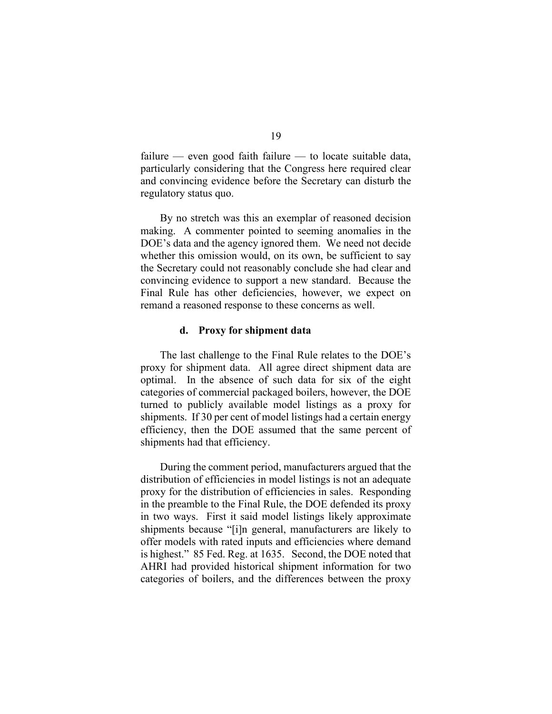failure — even good faith failure — to locate suitable data, particularly considering that the Congress here required clear and convincing evidence before the Secretary can disturb the regulatory status quo.

By no stretch was this an exemplar of reasoned decision making. A commenter pointed to seeming anomalies in the DOE's data and the agency ignored them. We need not decide whether this omission would, on its own, be sufficient to say the Secretary could not reasonably conclude she had clear and convincing evidence to support a new standard. Because the Final Rule has other deficiencies, however, we expect on remand a reasoned response to these concerns as well.

### **d. Proxy for shipment data**

The last challenge to the Final Rule relates to the DOE's proxy for shipment data. All agree direct shipment data are optimal. In the absence of such data for six of the eight categories of commercial packaged boilers, however, the DOE turned to publicly available model listings as a proxy for shipments. If 30 per cent of model listings had a certain energy efficiency, then the DOE assumed that the same percent of shipments had that efficiency.

During the comment period, manufacturers argued that the distribution of efficiencies in model listings is not an adequate proxy for the distribution of efficiencies in sales. Responding in the preamble to the Final Rule, the DOE defended its proxy in two ways. First it said model listings likely approximate shipments because "[i]n general, manufacturers are likely to offer models with rated inputs and efficiencies where demand is highest." 85 Fed. Reg. at 1635. Second, the DOE noted that AHRI had provided historical shipment information for two categories of boilers, and the differences between the proxy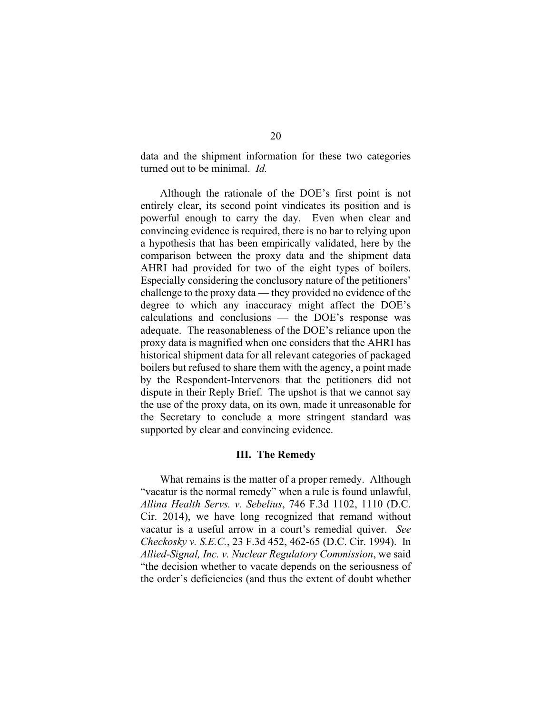data and the shipment information for these two categories turned out to be minimal. *Id.* 

Although the rationale of the DOE's first point is not entirely clear, its second point vindicates its position and is powerful enough to carry the day. Even when clear and convincing evidence is required, there is no bar to relying upon a hypothesis that has been empirically validated, here by the comparison between the proxy data and the shipment data AHRI had provided for two of the eight types of boilers. Especially considering the conclusory nature of the petitioners' challenge to the proxy data — they provided no evidence of the degree to which any inaccuracy might affect the DOE's calculations and conclusions — the DOE's response was adequate. The reasonableness of the DOE's reliance upon the proxy data is magnified when one considers that the AHRI has historical shipment data for all relevant categories of packaged boilers but refused to share them with the agency, a point made by the Respondent-Intervenors that the petitioners did not dispute in their Reply Brief. The upshot is that we cannot say the use of the proxy data, on its own, made it unreasonable for the Secretary to conclude a more stringent standard was supported by clear and convincing evidence.

### **III. The Remedy**

What remains is the matter of a proper remedy. Although "vacatur is the normal remedy" when a rule is found unlawful, *Allina Health Servs. v. Sebelius*, 746 F.3d 1102, 1110 (D.C. Cir. 2014), we have long recognized that remand without vacatur is a useful arrow in a court's remedial quiver. *See Checkosky v. S.E.C.*, 23 F.3d 452, 462-65 (D.C. Cir. 1994). In *Allied-Signal, Inc. v. Nuclear Regulatory Commission*, we said "the decision whether to vacate depends on the seriousness of the order's deficiencies (and thus the extent of doubt whether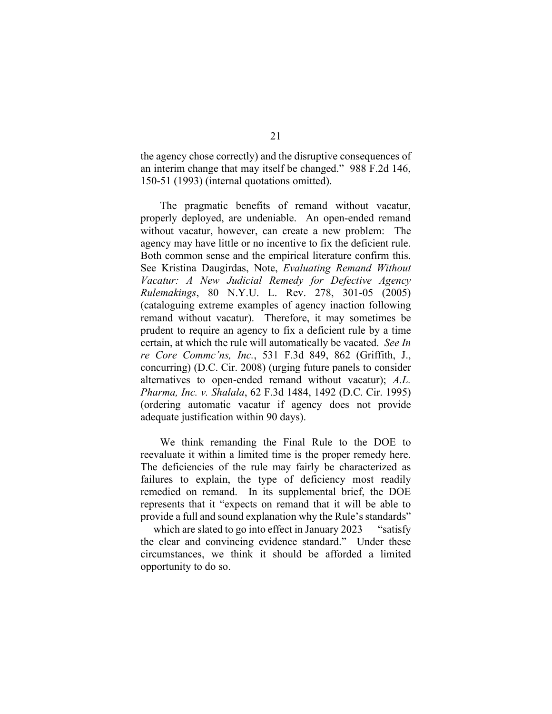the agency chose correctly) and the disruptive consequences of an interim change that may itself be changed." 988 F.2d 146, 150-51 (1993) (internal quotations omitted).

The pragmatic benefits of remand without vacatur, properly deployed, are undeniable. An open-ended remand without vacatur, however, can create a new problem: The agency may have little or no incentive to fix the deficient rule. Both common sense and the empirical literature confirm this. See Kristina Daugirdas, Note, *Evaluating Remand Without Vacatur: A New Judicial Remedy for Defective Agency Rulemakings*, 80 N.Y.U. L. Rev. 278, 301-05 (2005) (cataloguing extreme examples of agency inaction following remand without vacatur). Therefore, it may sometimes be prudent to require an agency to fix a deficient rule by a time certain, at which the rule will automatically be vacated. *See In re Core Commc'ns, Inc.*, 531 F.3d 849, 862 (Griffith, J., concurring) (D.C. Cir. 2008) (urging future panels to consider alternatives to open-ended remand without vacatur); *A.L. Pharma, Inc. v. Shalala*, 62 F.3d 1484, 1492 (D.C. Cir. 1995) (ordering automatic vacatur if agency does not provide adequate justification within 90 days).

We think remanding the Final Rule to the DOE to reevaluate it within a limited time is the proper remedy here. The deficiencies of the rule may fairly be characterized as failures to explain, the type of deficiency most readily remedied on remand. In its supplemental brief, the DOE represents that it "expects on remand that it will be able to provide a full and sound explanation why the Rule's standards" — which are slated to go into effect in January 2023 — "satisfy the clear and convincing evidence standard." Under these circumstances, we think it should be afforded a limited opportunity to do so.